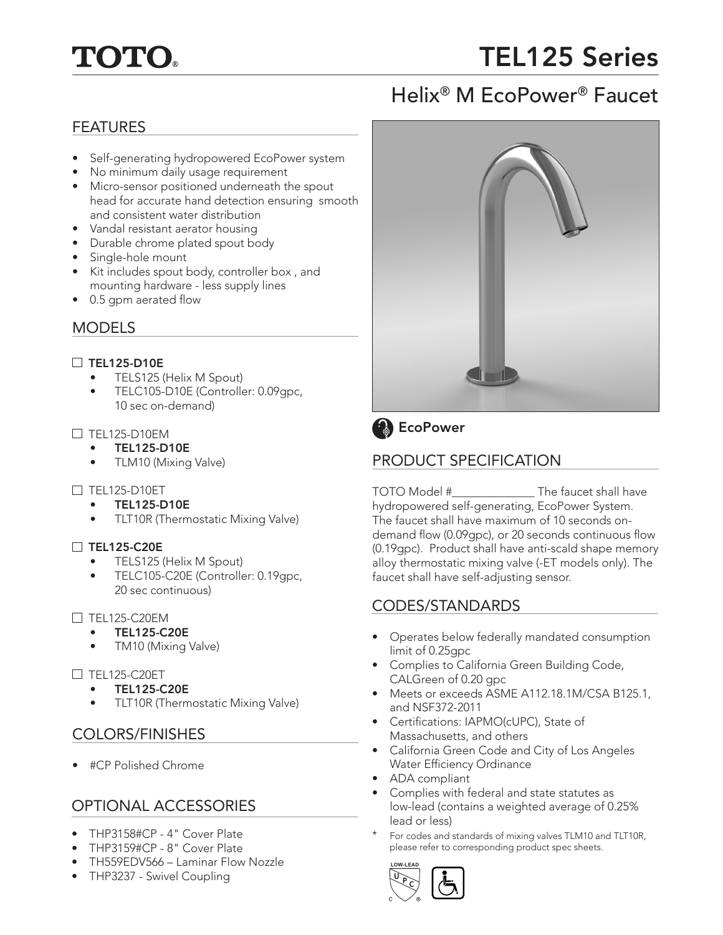

# TEL125 Series

## Helix® M EcoPower® Faucet

## FEATURES

- Self-generating hydropowered EcoPower system
- No minimum daily usage requirement
- Micro-sensor positioned underneath the spout head for accurate hand detection ensuring smooth and consistent water distribution
- Vandal resistant aerator housing
- Durable chrome plated spout body
- Single-hole mount
- Kit includes spout body, controller box , and mounting hardware - less supply lines
- 0.5 gpm aerated flow

## MODELS

## $\Box$  TEL125-D10E

- TELS125 (Helix M Spout)
- TELC105-D10E (Controller: 0.09gpc, 10 sec on-demand)

#### $\Box$  TFI 125-D10FM

- TEL125-D10E
- TLM10 (Mixing Valve)

## $\Box$  TEL125-D10ET

- TEL125-D10E
- TLT10R (Thermostatic Mixing Valve)

## $\Box$  TEL125-C20E

- TELS125 (Helix M Spout)
- TELC105-C20E (Controller: 0.19gpc, 20 sec continuous)

## $\Box$  TFL125-C20FM

- TEL125-C20E
- TM10 (Mixing Valve)

## $\Box$  TEL125-C20ET

- TEL125-C20E
- TLT10R (Thermostatic Mixing Valve)

## COLORS/FINISHES

• #CP Polished Chrome

## OPTIONAL ACCESSORIES

- THP3158#CP 4" Cover Plate
- THP3159#CP 8" Cover Plate
- TH559EDV566 Laminar Flow Nozzle
- THP3237 Swivel Coupling



## **B** EcoPower

## PRODUCT SPECIFICATION

TOTO Model #\_\_\_\_\_\_\_\_\_\_\_\_\_\_ The faucet shall have hydropowered self-generating, EcoPower System. The faucet shall have maximum of 10 seconds ondemand flow (0.09gpc), or 20 seconds continuous flow (0.19gpc). Product shall have anti-scald shape memory alloy thermostatic mixing valve (-ET models only). The faucet shall have self-adjusting sensor.

## CODES/STANDARDS

- Operates below federally mandated consumption limit of 0.25gpc
- Complies to California Green Building Code, CALGreen of 0.20 gpc
- Meets or exceeds ASME A112.18.1M/CSA B125.1, and NSF372-2011
- Certifications: IAPMO(cUPC), State of Massachusetts, and others
- California Green Code and City of Los Angeles Water Efficiency Ordinance
- ADA compliant
- Complies with federal and state statutes as low-lead (contains a weighted average of 0.25% lead or less)
- For codes and standards of mixing valves TLM10 and TLT10R, please refer to corresponding product spec sheets.